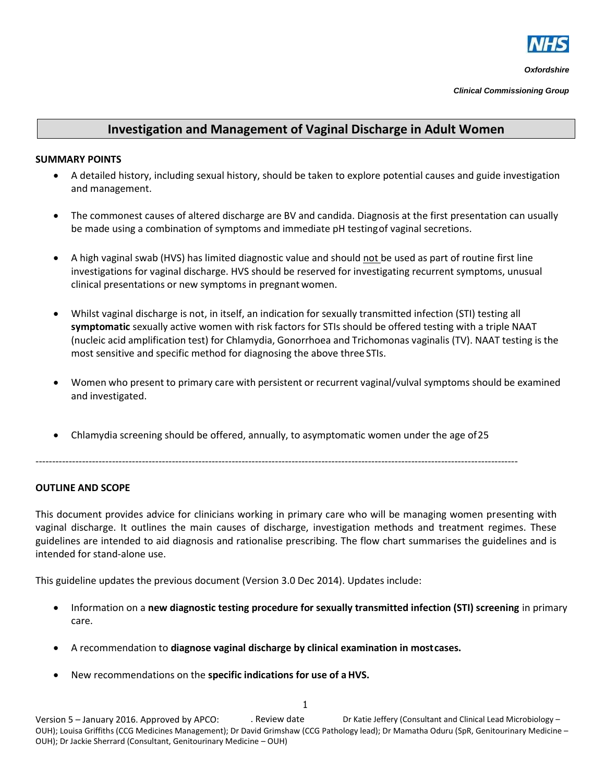

*Clinical Commissioning Group*

## **Investigation and Management of Vaginal Discharge in Adult Women**

### **SUMMARY POINTS**

- A detailed history, including sexual history, should be taken to explore potential causes and guide investigation and management.
- The commonest causes of altered discharge are BV and candida. Diagnosis at the first presentation can usually be made using a combination of symptoms and immediate pH testingof vaginal secretions.
- A high vaginal swab (HVS) has limited diagnostic value and should not be used as part of routine first line investigations for vaginal discharge. HVS should be reserved for investigating recurrent symptoms, unusual clinical presentations or new symptoms in pregnantwomen.
- Whilst vaginal discharge is not, in itself, an indication for sexually transmitted infection (STI) testing all **symptomatic** sexually active women with risk factors for STIs should be offered testing with a triple NAAT (nucleic acid amplification test) for Chlamydia, Gonorrhoea and Trichomonas vaginalis (TV). NAAT testing is the most sensitive and specific method for diagnosing the above three STIs.
- Women who present to primary care with persistent or recurrent vaginal/vulval symptoms should be examined and investigated.
- Chlamydia screening should be offered, annually, to asymptomatic women under the age of25

-------------------------------------------------------------------------------------------------------------------------------------------------

### **OUTLINE AND SCOPE**

This document provides advice for clinicians working in primary care who will be managing women presenting with vaginal discharge. It outlines the main causes of discharge, investigation methods and treatment regimes. These guidelines are intended to aid diagnosis and rationalise prescribing. The flow chart summarises the guidelines and is intended for stand-alone use.

This guideline updates the previous document (Version 3.0 Dec 2014). Updates include:

- Information on a **new diagnostic testing procedure for sexually transmitted infection (STI) screening** in primary care.
- A recommendation to **diagnose vaginal discharge by clinical examination in mostcases.**
- New recommendations on the **specific indications for use of aHVS.**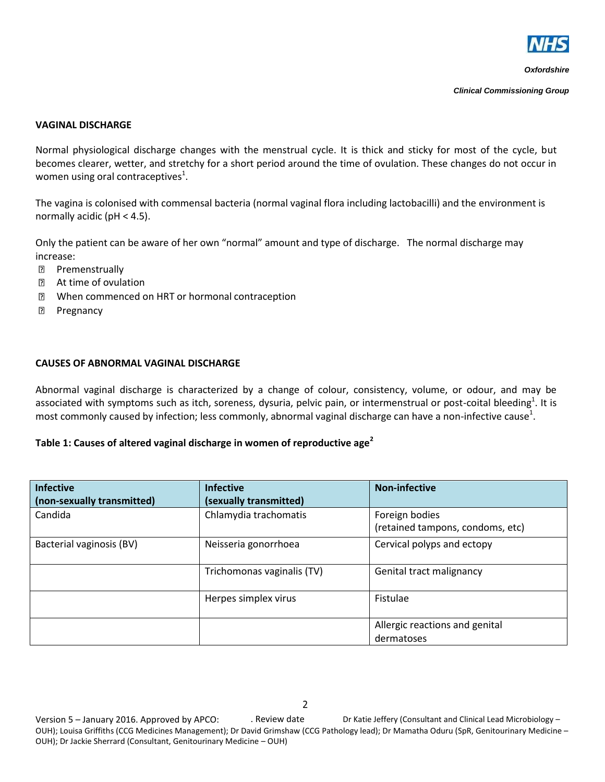

*Clinical Commissioning Group*

#### **VAGINAL DISCHARGE**

Normal physiological discharge changes with the menstrual cycle. It is thick and sticky for most of the cycle, but becomes clearer, wetter, and stretchy for a short period around the time of ovulation. These changes do not occur in women using oral contraceptives<sup>1</sup>.

The vagina is colonised with commensal bacteria (normal vaginal flora including lactobacilli) and the environment is normally acidic (pH < 4.5).

Only the patient can be aware of her own "normal" amount and type of discharge. The normal discharge may increase:

- **Premenstrually**
- At time of ovulation  $\overline{2}$
- When commenced on HRT or hormonal contraception  $\overline{2}$
- $\overline{2}$ Pregnancy

#### **CAUSES OF ABNORMAL VAGINAL DISCHARGE**

Abnormal vaginal discharge is characterized by a change of colour, consistency, volume, or odour, and may be associated with symptoms such as itch, soreness, dysuria, pelvic pain, or intermenstrual or post-coital bleeding<sup>1</sup>. It is most commonly caused by infection; less commonly, abnormal vaginal discharge can have a non-infective cause<sup>1</sup>.

### **Table 1: Causes of altered vaginal discharge in women of reproductive age<sup>2</sup>**

| <b>Infective</b><br>(non-sexually transmitted) | <b>Infective</b><br>(sexually transmitted) | <b>Non-infective</b>                               |
|------------------------------------------------|--------------------------------------------|----------------------------------------------------|
| Candida                                        | Chlamydia trachomatis                      | Foreign bodies<br>(retained tampons, condoms, etc) |
| Bacterial vaginosis (BV)                       | Neisseria gonorrhoea                       | Cervical polyps and ectopy                         |
|                                                | Trichomonas vaginalis (TV)                 | Genital tract malignancy                           |
|                                                | Herpes simplex virus                       | Fistulae                                           |
|                                                |                                            | Allergic reactions and genital<br>dermatoses       |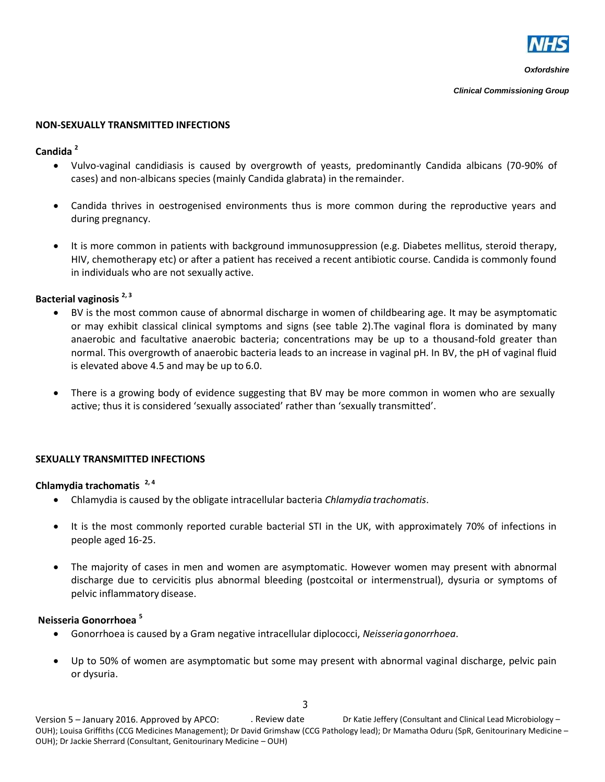

*Clinical Commissioning Group*

### **NON-SEXUALLY TRANSMITTED INFECTIONS**

### **Candida <sup>2</sup>**

- Vulvo-vaginal candidiasis is caused by overgrowth of yeasts, predominantly Candida albicans (70-90% of cases) and non-albicans species (mainly Candida glabrata) in the remainder.
- Candida thrives in oestrogenised environments thus is more common during the reproductive years and during pregnancy.
- It is more common in patients with background immunosuppression (e.g. Diabetes mellitus, steroid therapy, HIV, chemotherapy etc) or after a patient has received a recent antibiotic course. Candida is commonly found in individuals who are not sexually active.

# **Bacterial vaginosis 2, 3**

- BV is the most common cause of abnormal discharge in women of childbearing age. It may be asymptomatic or may exhibit classical clinical symptoms and signs (see table 2).The vaginal flora is dominated by many anaerobic and facultative anaerobic bacteria; concentrations may be up to a thousand-fold greater than normal. This overgrowth of anaerobic bacteria leads to an increase in vaginal pH. In BV, the pH of vaginal fluid is elevated above 4.5 and may be up to 6.0.
- There is a growing body of evidence suggesting that BV may be more common in women who are sexually active; thus it is considered 'sexually associated' rather than 'sexually transmitted'.

# **SEXUALLY TRANSMITTED INFECTIONS**

## **Chlamydia trachomatis 2, 4**

- Chlamydia is caused by the obligate intracellular bacteria *Chlamydia trachomatis*.
- It is the most commonly reported curable bacterial STI in the UK, with approximately 70% of infections in people aged 16-25.
- The majority of cases in men and women are asymptomatic. However women may present with abnormal discharge due to cervicitis plus abnormal bleeding (postcoital or intermenstrual), dysuria or symptoms of pelvic inflammatory disease.

## **Neisseria Gonorrhoea <sup>5</sup>**

- Gonorrhoea is caused by a Gram negative intracellular diplococci, *Neisseriagonorrhoea*.
- Up to 50% of women are asymptomatic but some may present with abnormal vaginal discharge, pelvic pain or dysuria.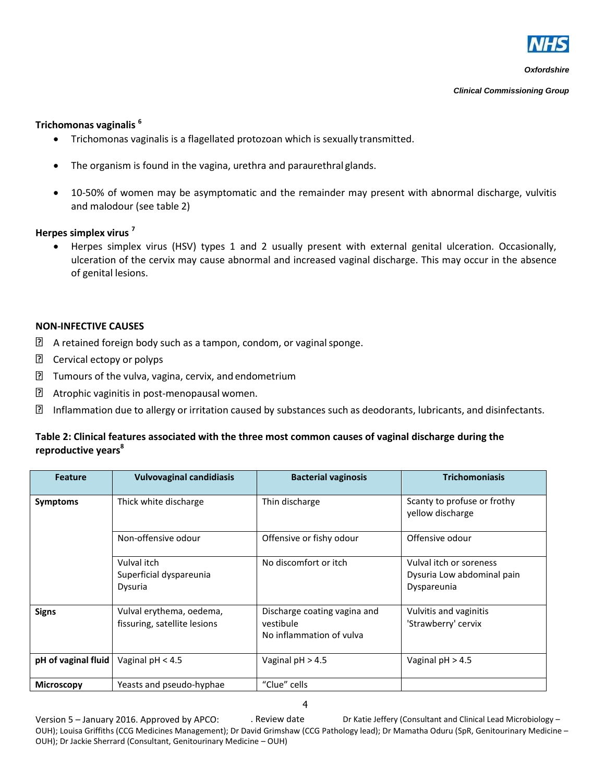

*Clinical Commissioning Group*

### **Trichomonas vaginalis <sup>6</sup>**

- Trichomonas vaginalis is a flagellated protozoan which is sexually transmitted.
- The organism is found in the vagina, urethra and paraurethral glands.
- 10-50% of women may be asymptomatic and the remainder may present with abnormal discharge, vulvitis and malodour (see table 2)

### **Herpes simplex virus <sup>7</sup>**

 Herpes simplex virus (HSV) types 1 and 2 usually present with external genital ulceration. Occasionally, ulceration of the cervix may cause abnormal and increased vaginal discharge. This may occur in the absence of genital lesions.

### **NON-INFECTIVE CAUSES**

- $\boxed{2}$  A retained foreign body such as a tampon, condom, or vaginal sponge.
- **P** Cervical ectopy or polyps
- ิ้ี่ ⊠ Tumours of the vulva, vagina, cervix, and endometrium
- ⊡ Atrophic vaginitis in post-menopausal women.
- $\overline{?}$ Inflammation due to allergy or irritation caused by substances such as deodorants, lubricants, and disinfectants.

### **Table 2: Clinical features associated with the three most common causes of vaginal discharge during the reproductive years<sup>8</sup>**

| <b>Feature</b>      | <b>Vulvovaginal candidiasis</b>                          | <b>Bacterial vaginosis</b>                                            | <b>Trichomoniasis</b>                                                |
|---------------------|----------------------------------------------------------|-----------------------------------------------------------------------|----------------------------------------------------------------------|
| <b>Symptoms</b>     | Thick white discharge                                    | Thin discharge                                                        | Scanty to profuse or frothy<br>vellow discharge                      |
|                     | Non-offensive odour                                      | Offensive or fishy odour                                              | Offensive odour                                                      |
|                     | Vulval itch<br>Superficial dyspareunia<br>Dysuria        | No discomfort or itch                                                 | Vulval itch or soreness<br>Dysuria Low abdominal pain<br>Dyspareunia |
| <b>Signs</b>        | Vulval erythema, oedema,<br>fissuring, satellite lesions | Discharge coating vagina and<br>vestibule<br>No inflammation of vulva | Vulvitis and vaginitis<br>'Strawberry' cervix                        |
| pH of vaginal fluid | Vaginal $pH < 4.5$                                       | Vaginal $pH > 4.5$                                                    | Vaginal $pH > 4.5$                                                   |
| <b>Microscopy</b>   | Yeasts and pseudo-hyphae                                 | "Clue" cells                                                          |                                                                      |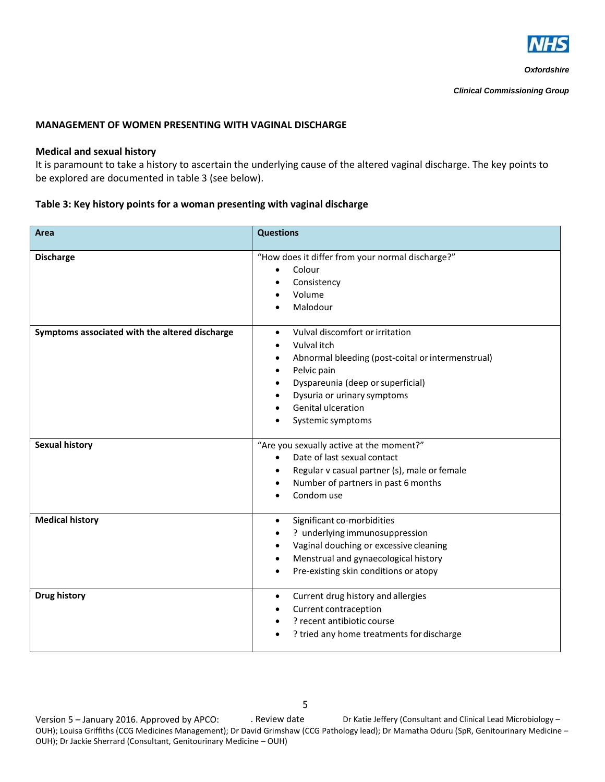

#### **MANAGEMENT OF WOMEN PRESENTING WITH VAGINAL DISCHARGE**

#### **Medical and sexual history**

It is paramount to take a history to ascertain the underlying cause of the altered vaginal discharge. The key points to be explored are documented in table 3 (see below).

#### **Table 3: Key history points for a woman presenting with vaginal discharge**

| Area                                           | <b>Questions</b>                                                                                                                                                                                                                                    |  |
|------------------------------------------------|-----------------------------------------------------------------------------------------------------------------------------------------------------------------------------------------------------------------------------------------------------|--|
| <b>Discharge</b>                               | "How does it differ from your normal discharge?"<br>Colour<br>$\bullet$<br>Consistency<br>Volume<br>Malodour                                                                                                                                        |  |
| Symptoms associated with the altered discharge | Vulval discomfort or irritation<br>$\bullet$<br>Vulval itch<br>Abnormal bleeding (post-coital or intermenstrual)<br>٠<br>Pelvic pain<br>Dyspareunia (deep or superficial)<br>Dysuria or urinary symptoms<br>Genital ulceration<br>Systemic symptoms |  |
| <b>Sexual history</b>                          | "Are you sexually active at the moment?"<br>Date of last sexual contact<br>Regular v casual partner (s), male or female<br>Number of partners in past 6 months<br>Condom use                                                                        |  |
| <b>Medical history</b>                         | Significant co-morbidities<br>$\bullet$<br>? underlying immunosuppression<br>Vaginal douching or excessive cleaning<br>Menstrual and gynaecological history<br>$\bullet$<br>Pre-existing skin conditions or atopy                                   |  |
| <b>Drug history</b>                            | Current drug history and allergies<br>$\bullet$<br>Current contraception<br>? recent antibiotic course<br>? tried any home treatments for discharge                                                                                                 |  |

Version 5 – January 2016. Approved by APCO: . . Review date Dr Katie Jeffery (Consultant and Clinical Lead Microbiology – OUH); Louisa Griffiths (CCG Medicines Management); Dr David Grimshaw (CCG Pathology lead); Dr Mamatha Oduru (SpR, Genitourinary Medicine – OUH); Dr Jackie Sherrard (Consultant, Genitourinary Medicine – OUH)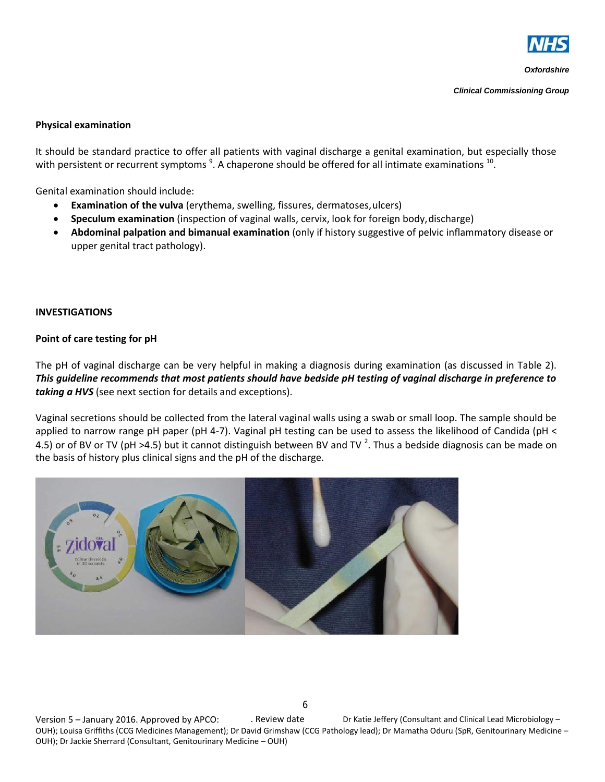

*Clinical Commissioning Group*

#### **Physical examination**

It should be standard practice to offer all patients with vaginal discharge a genital examination, but especially those with persistent or recurrent symptoms  $9.$  A chaperone should be offered for all intimate examinations  $^{10}$ .

Genital examination should include:

- **Examination of the vulva** (erythema, swelling, fissures, dermatoses,ulcers)
- **Speculum examination** (inspection of vaginal walls, cervix, look for foreign body,discharge)
- **Abdominal palpation and bimanual examination** (only if history suggestive of pelvic inflammatory disease or upper genital tract pathology).

#### **INVESTIGATIONS**

#### **Point of care testing for pH**

The pH of vaginal discharge can be very helpful in making a diagnosis during examination (as discussed in Table 2). *This guideline recommends that most patients should have bedside pH testing of vaginal discharge in preference to taking a HVS* (see next section for details and exceptions).

Vaginal secretions should be collected from the lateral vaginal walls using a swab or small loop. The sample should be applied to narrow range pH paper (pH 4-7). Vaginal pH testing can be used to assess the likelihood of Candida (pH < 4.5) or of BV or TV (pH >4.5) but it cannot distinguish between BV and TV <sup>2</sup>. Thus a bedside diagnosis can be made on the basis of history plus clinical signs and the pH of the discharge.



Version 5 – January 2016. Approved by APCO: . Review date Dr Katie Jeffery (Consultant and Clinical Lead Microbiology – OUH); Louisa Griffiths (CCG Medicines Management); Dr David Grimshaw (CCG Pathology lead); Dr Mamatha Oduru (SpR, Genitourinary Medicine – OUH); Dr Jackie Sherrard (Consultant, Genitourinary Medicine – OUH)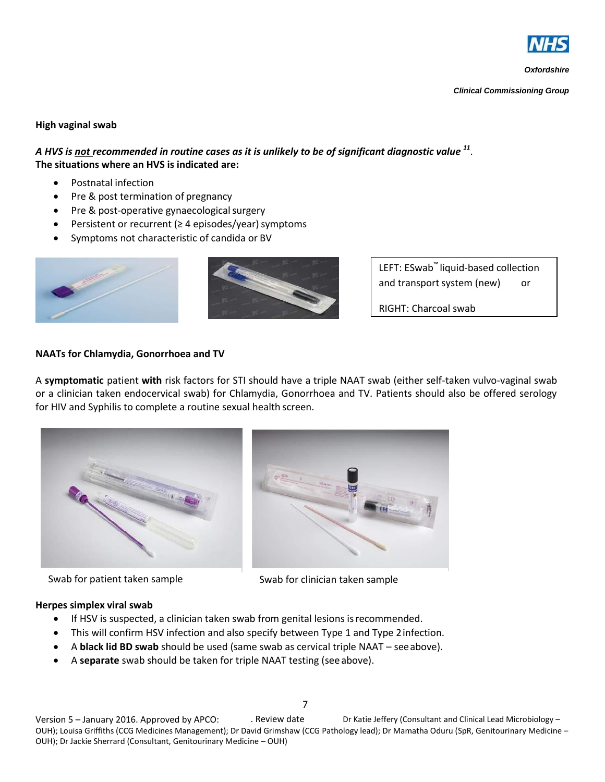

*Clinical Commissioning Group*

## **High vaginal swab**

*A HVS is not recommended in routine cases as it is unlikely to be of significant diagnostic value <sup>11</sup>* . **The situations where an HVS is indicated are:**

- Postnatal infection
- Pre & post termination of pregnancy
- Pre & post-operative gynaecological surgery
- Persistent or recurrent ( $\geq 4$  episodes/year) symptoms
- Symptoms not characteristic of candida or BV





LEFT: ESwab™ liquid-based collection and transport system (new) or

RIGHT: Charcoal swab

### **NAATs for Chlamydia, Gonorrhoea and TV**

A **symptomatic** patient **with** risk factors for STI should have a triple NAAT swab (either self-taken vulvo-vaginal swab or a clinician taken endocervical swab) for Chlamydia, Gonorrhoea and TV. Patients should also be offered serology for HIV and Syphilis to complete a routine sexual health screen.



Swab for patient taken sample Swab for clinician taken sample

### **Herpes simplex viral swab**

- If HSV is suspected, a clinician taken swab from genital lesions is recommended.
- This will confirm HSV infection and also specify between Type 1 and Type 2infection.
- A **black lid BD swab** should be used (same swab as cervical triple NAAT seeabove).
- A **separate** swab should be taken for triple NAAT testing (see above).

Version 5 – January 2016. Approved by APCO: . Review date Dr Katie Jeffery (Consultant and Clinical Lead Microbiology – OUH); Louisa Griffiths (CCG Medicines Management); Dr David Grimshaw (CCG Pathology lead); Dr Mamatha Oduru (SpR, Genitourinary Medicine – OUH); Dr Jackie Sherrard (Consultant, Genitourinary Medicine – OUH)

7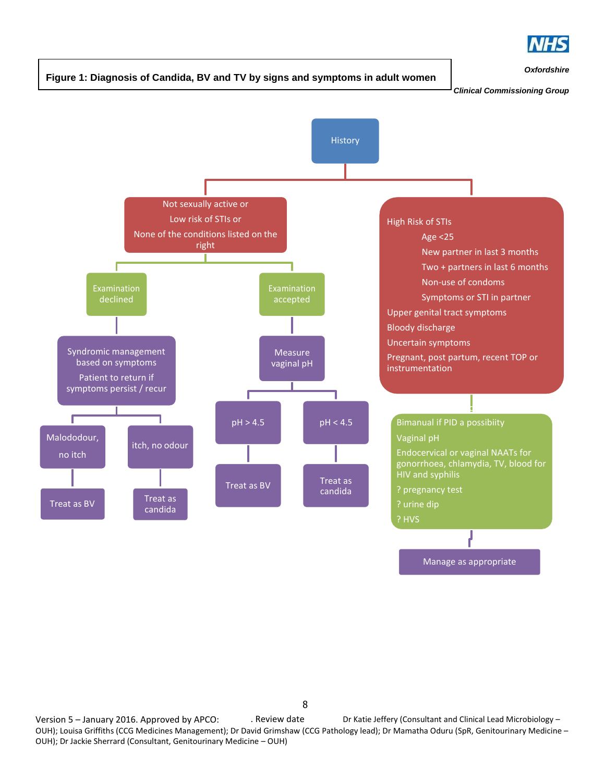

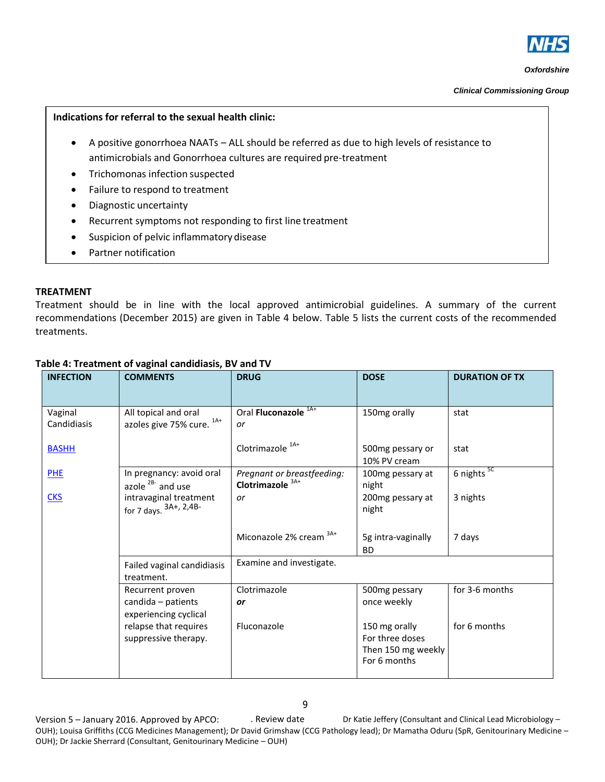

*Clinical Commissioning Group*

#### **Indications for referral to the sexual health clinic:**

- A positive gonorrhoea NAATs ALL should be referred as due to high levels of resistance to antimicrobials and Gonorrhoea cultures are required pre-treatment
- Trichomonas infection suspected
- Failure to respond to treatment
- Diagnostic uncertainty
- Recurrent symptoms not responding to first line treatment
- **•** Suspicion of pelvic inflammatory disease
- Partner notification

#### **TREATMENT**

Treatment should be in line with the local approved antimicrobial guidelines. A summary of the current recommendations (December 2015) are given in Table 4 below. Table 5 lists the current costs of the recommended treatments.

| <b>INFECTION</b>       | <b>COMMENTS</b>                                                 | <b>DRUG</b>                                               | <b>DOSE</b>                                                            | <b>DURATION OF TX</b> |
|------------------------|-----------------------------------------------------------------|-----------------------------------------------------------|------------------------------------------------------------------------|-----------------------|
| Vaginal<br>Candidiasis | All topical and oral<br>azoles give 75% cure. 1A+               | Oral Fluconazole <sup>1A+</sup><br>or                     | 150mg orally                                                           | stat                  |
| <b>BASHH</b>           |                                                                 | Clotrimazole <sup>1A+</sup>                               | 500mg pessary or<br>10% PV cream                                       | stat                  |
| PHE                    | In pregnancy: avoid oral<br>azole $2B$ and use                  | Pregnant or breastfeeding:<br>Clotrimazole <sup>3A+</sup> | 100mg pessary at<br>night                                              | 6 nights $5C$         |
| <b>CKS</b>             | intravaginal treatment<br>for 7 days. $3A+$ , 2,4B-             | or                                                        | 200mg pessary at<br>night                                              | 3 nights              |
|                        |                                                                 | Miconazole 2% cream 3A+                                   | 5g intra-vaginally<br><b>BD</b>                                        | 7 days                |
|                        | Failed vaginal candidiasis<br>treatment.                        | Examine and investigate.                                  |                                                                        |                       |
|                        | Recurrent proven<br>candida - patients<br>experiencing cyclical | Clotrimazole<br>or                                        | 500mg pessary<br>once weekly                                           | for 3-6 months        |
|                        | relapse that requires<br>suppressive therapy.                   | Fluconazole                                               | 150 mg orally<br>For three doses<br>Then 150 mg weekly<br>For 6 months | for 6 months          |

### **Table 4: Treatment of vaginal candidiasis, BV and TV**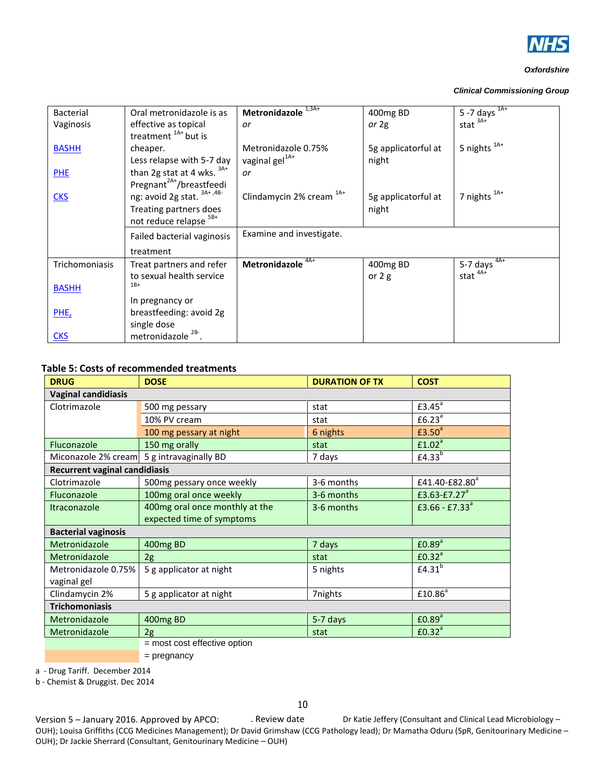

#### *Clinical Commissioning Group*

| Bacterial      | Oral metronidazole is as             | Metronidazole <sup>1,3A+</sup>      | 400mg BD            | $5 - 7$ days $1A +$ |
|----------------|--------------------------------------|-------------------------------------|---------------------|---------------------|
| Vaginosis      | effective as topical                 | or                                  | or $2g$             | stat $3A+$          |
|                | treatment <sup>1A+</sup> but is      |                                     |                     |                     |
| <b>BASHH</b>   | cheaper.                             | Metronidazole 0.75%                 | 5g applicatorful at | 5 nights $^{1A+}$   |
|                | Less relapse with 5-7 day            | vaginal gel <sup>1A+</sup>          | night               |                     |
| <b>PHE</b>     | than 2g stat at 4 wks. $3A+$         | or                                  |                     |                     |
|                | Pregnant <sup>2A+</sup> /breastfeedi |                                     |                     |                     |
| <b>CKS</b>     | ng: avoid 2g stat. 3A+,4B-           | Clindamycin 2% cream <sup>1A+</sup> | 5g applicatorful at | 7 nights $1A+$      |
|                | Treating partners does               |                                     | night               |                     |
|                | not reduce relapse <sup>5B+</sup>    |                                     |                     |                     |
|                | Failed bacterial vaginosis           | Examine and investigate.            |                     |                     |
|                | treatment                            |                                     |                     |                     |
| Trichomoniasis | Treat partners and refer             | Metronidazole <sup>4A+</sup>        | 400mg BD            | 5-7 days $4A+$      |
|                | to sexual health service             |                                     | or $2g$             | stat $4A+$          |
| <b>BASHH</b>   | $1B+$                                |                                     |                     |                     |
|                | In pregnancy or                      |                                     |                     |                     |
| PHE,           | breastfeeding: avoid 2g              |                                     |                     |                     |
|                | single dose                          |                                     |                     |                     |
| <b>CKS</b>     | metronidazole                        |                                     |                     |                     |

#### **Table 5: Costs of recommended treatments**

| <b>DRUG</b>                                           | <b>DOSE</b>                  | <b>DURATION OF TX</b> | <b>COST</b>                |  |
|-------------------------------------------------------|------------------------------|-----------------------|----------------------------|--|
| <b>Vaginal candidiasis</b>                            |                              |                       |                            |  |
| Clotrimazole                                          | 500 mg pessary               | stat                  | £3.45 <sup>a</sup>         |  |
|                                                       | 10% PV cream                 | stat                  | £6.23 <sup>a</sup>         |  |
|                                                       | 100 mg pessary at night      | 6 nights              | £3.50 <sup>a</sup>         |  |
| Fluconazole                                           | 150 mg orally                | stat                  | £1.02 <sup>a</sup>         |  |
| Miconazole 2% cream                                   | 5 g intravaginally BD        | 7 days                | £4.33 <sup>b</sup>         |  |
| <b>Recurrent vaginal candidiasis</b>                  |                              |                       |                            |  |
| Clotrimazole                                          | 500mg pessary once weekly    | 3-6 months            | £41.40-£82.80 <sup>a</sup> |  |
| Fluconazole                                           | 100mg oral once weekly       | 3-6 months            | £3.63-£7.27 $^a$           |  |
| 400mg oral once monthly at the<br><b>Itraconazole</b> |                              | 3-6 months            | £3.66 - £7.33 $a$          |  |
|                                                       | expected time of symptoms    |                       |                            |  |
| <b>Bacterial vaginosis</b>                            |                              |                       |                            |  |
| Metronidazole                                         | 400mg BD                     | 7 days                | £0.89 <sup>a</sup>         |  |
| Metronidazole                                         | 2g                           | stat                  | £0.32 <sup>a</sup>         |  |
| Metronidazole 0.75%                                   | 5 g applicator at night      | 5 nights              | E4.31 <sup>b</sup>         |  |
| vaginal gel                                           |                              |                       |                            |  |
| Clindamycin 2%                                        | 5 g applicator at night      | 7nights               | £10.86 <sup>a</sup>        |  |
| <b>Trichomoniasis</b>                                 |                              |                       |                            |  |
| Metronidazole                                         | 400mg BD                     | 5-7 days              | £0.89 <sup>a</sup>         |  |
| Metronidazole                                         | 2g                           | stat                  | £0.32 <sup>a</sup>         |  |
|                                                       | = most cost effective option |                       |                            |  |

= pregnancy

a - Drug Tariff. December 2014

b - Chemist & Druggist. Dec 2014

Version 5 – January 2016. Approved by APCO: . . Review date Dr Katie Jeffery (Consultant and Clinical Lead Microbiology – OUH); Louisa Griffiths (CCG Medicines Management); Dr David Grimshaw (CCG Pathology lead); Dr Mamatha Oduru (SpR, Genitourinary Medicine – OUH); Dr Jackie Sherrard (Consultant, Genitourinary Medicine – OUH)